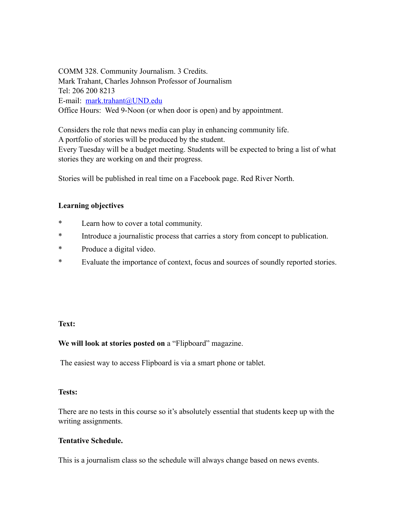COMM 328. Community Journalism. 3 Credits. Mark Trahant, Charles Johnson Professor of Journalism Tel: 206 200 8213 E-mail: [mark.trahant@UND.edu](mailto:mark.trahant@UND.edu) Office Hours: Wed 9-Noon (or when door is open) and by appointment.

Considers the role that news media can play in enhancing community life. A portfolio of stories will be produced by the student. Every Tuesday will be a budget meeting. Students will be expected to bring a list of what stories they are working on and their progress.

Stories will be published in real time on a Facebook page. Red River North.

## **Learning objectives**

- \* Learn how to cover a total community.
- \* Introduce a journalistic process that carries a story from concept to publication.
- \* Produce a digital video.
- \* Evaluate the importance of context, focus and sources of soundly reported stories.

#### **Text:**

#### **We will look at stories posted on** a "Flipboard" magazine.

The easiest way to access Flipboard is via a smart phone or tablet.

#### **Tests:**

There are no tests in this course so it's absolutely essential that students keep up with the writing assignments.

#### **Tentative Schedule.**

This is a journalism class so the schedule will always change based on news events.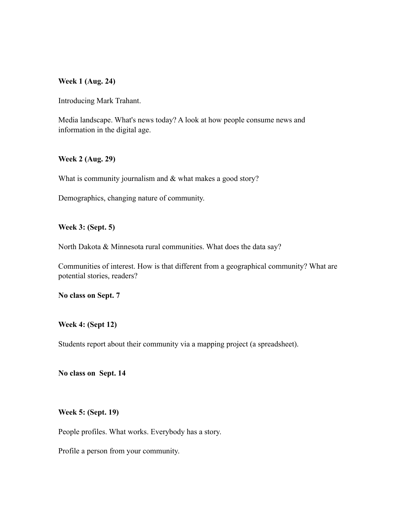#### **Week 1 (Aug. 24)**

Introducing Mark Trahant.

Media landscape. What's news today? A look at how people consume news and information in the digital age.

#### **Week 2 (Aug. 29)**

What is community journalism and  $&$  what makes a good story?

Demographics, changing nature of community.

**Week 3: (Sept. 5)** 

North Dakota & Minnesota rural communities. What does the data say?

Communities of interest. How is that different from a geographical community? What are potential stories, readers?

**No class on Sept. 7** 

**Week 4: (Sept 12)**

Students report about their community via a mapping project (a spreadsheet).

**No class on Sept. 14** 

**Week 5: (Sept. 19)**

People profiles. What works. Everybody has a story.

Profile a person from your community.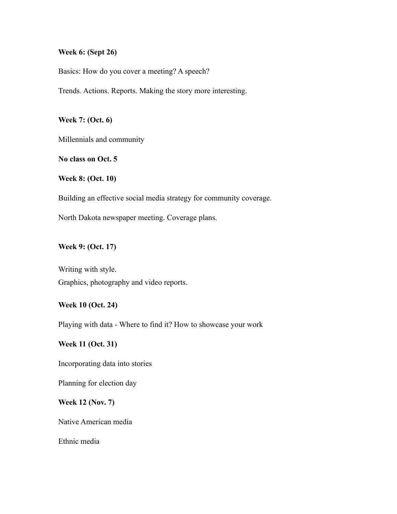### **Week 6: (Sept 26)**

Basics: How do you cover a meeting? A speech?

Trends. Actions. Reports. Making the story more interesting.

**Week 7: (Oct. 6)** 

Millennials and community

**No class on Oct. 5** 

**Week 8: (Oct. 10)** 

Building an effective social media strategy for community coverage.

North Dakota newspaper meeting. Coverage plans.

#### **Week 9: (Oct. 17)**

Writing with style. Graphics, photography and video reports.

### **Week 10 (Oct. 24)**

Playing with data - Where to find it? How to showcase your work

## **Week 11 (Oct. 31)**

Incorporating data into stories

Planning for election day

### **Week 12 (Nov. 7)**

Native American media

Ethnic media